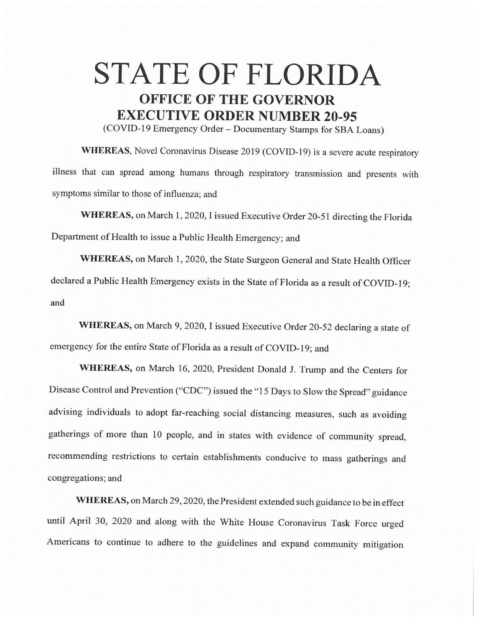## **STATE OF FLORIDA OFFICE OF THE GOVERNOR EXECUTIVE ORDER NUMBER 20-95**

(COVID-19 Emergency Order - Documentary Stamps for SBA Loans)

**WHEREAS,** Novel Coronavirus Disease 2019 (COVID-19) is a severe acute respiratory illness that can spread among humans through respiratory transmission and presents with symptoms similar to those of influenza; and

**WHEREAS,** on March 1, 2020, I issued Executive Order 20-51 directing the Florida Department of Health to issue a Public Health Emergency; and

**WHEREAS,** on March 1, 2020, the State Surgeon General and State Health Officer declared a Public Health Emergency exists in the State of Florida as a result of COVID-19; and

**WHEREAS,** on March 9, 2020, I issued Executive Order 20-52 declaring a state of emergency for the entire State of Florida as a result of COVID-19; and

**WHEREAS,** on March 16, 2020, President Donald J. Trump and the Centers for Disease Control and Prevention ("CDC") issued the "15 Days to Slow the Spread" guidance advising individuals to adopt far-reaching social distancing measures, such as avoiding gatherings of more than 10 people, and in states with evidence of community spread, recommending restrictions to certain establishments conducive to mass gatherings and congregations; and

**WHEREAS,** on March 29, 2020, the President extended such guidance to be in effect until April 30, 2020 and along with the White House Coronavirus Task Force urged Americans to continue to adhere to the guidelines and expand community mitigation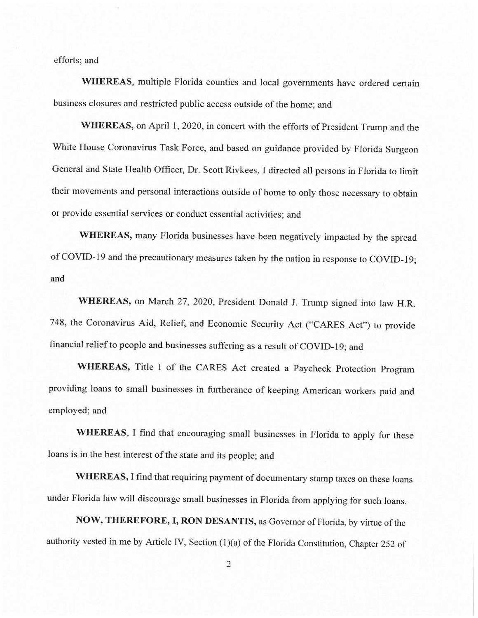efforts; and

**WHEREAS,** multiple Florida counties and local governments have ordered certain business closures and restricted public access outside of the home; and

**WHEREAS,** on April 1, 2020, in concert with the efforts of President Trump and the White House Coronavirus Task Force, and based on guidance provided by Florida Surgeon General and State Health Officer, Dr. Scott Rivkees, I directed all persons in Florida to limit their movements and personal interactions outside of home to only those necessary to obtain or provide essential services or conduct essential activities; and

WHEREAS, many Florida businesses have been negatively impacted by the spread of COVID-19 and the precautionary measures taken by the nation in response to COVID-19; and

**WHEREAS,** on March 27, 2020, President Donald J. Trwnp signed into law H.R. 748, the Coronavirus Aid, Relief, and Economic Security Act ("CARES Act") to provide financial relief to people and businesses suffering as a result of COVID-19; and

**WHEREAS,** Title I of the CARES Act created a Paycheck Protection Program providing loans to small businesses in furtherance of keeping American workers paid and employed; and

**WHEREAS,** I find that encouraging small businesses in Florida to apply for these loans is in the best interest of the state and its people; and

**WHEREAS,** I find that requiring payment of documentary stamp taxes on these loans under Florida law will discourage small businesses in Florida from applying for such loans.

**NOW, THEREFORE, I, RON DESANTIS,** as Governor of Florida, by virtue of the authority vested in me by Article IV, Section (1)(a) of the Florida Constitution, Chapter 252 of